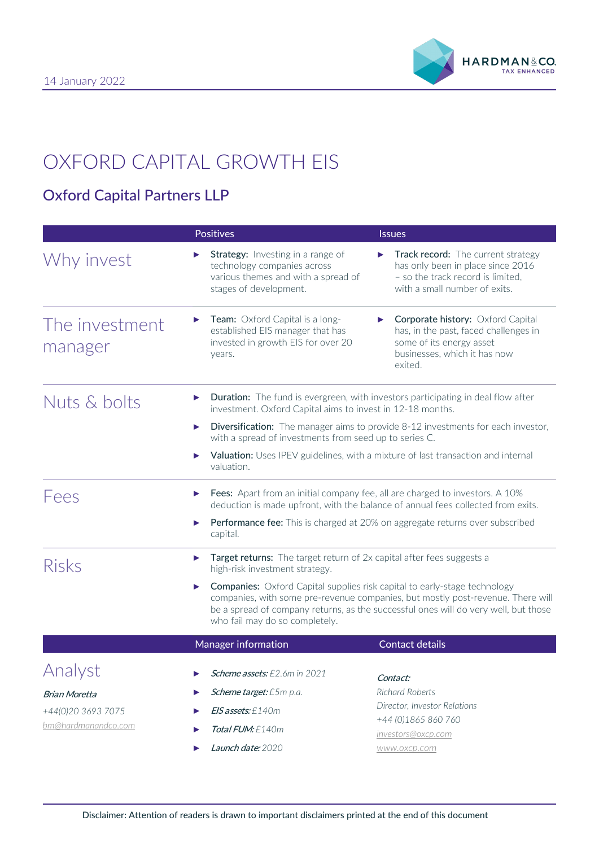

# OXFORD CAPITAL GROWTH EIS

# Oxford Capital Partners LLP

|                                                                   | <b>Positives</b>                                                                                                                                                                                                                                                                                  | <b>Issues</b>                                                                                                                                        |  |  |  |
|-------------------------------------------------------------------|---------------------------------------------------------------------------------------------------------------------------------------------------------------------------------------------------------------------------------------------------------------------------------------------------|------------------------------------------------------------------------------------------------------------------------------------------------------|--|--|--|
| Why invest                                                        | <b>Strategy:</b> Investing in a range of<br>technology companies across<br>various themes and with a spread of<br>stages of development.                                                                                                                                                          | <b>Track record:</b> The current strategy<br>has only been in place since 2016<br>- so the track record is limited,<br>with a small number of exits. |  |  |  |
| The investment<br>manager                                         | Team: Oxford Capital is a long-<br>▶<br>established EIS manager that has<br>invested in growth EIS for over 20<br>years.                                                                                                                                                                          | Corporate history: Oxford Capital<br>has, in the past, faced challenges in<br>some of its energy asset<br>businesses, which it has now<br>exited.    |  |  |  |
| Nuts & bolts                                                      | <b>Duration:</b> The fund is evergreen, with investors participating in deal flow after<br>▶<br>investment. Oxford Capital aims to invest in 12-18 months.                                                                                                                                        |                                                                                                                                                      |  |  |  |
|                                                                   | ▶                                                                                                                                                                                                                                                                                                 | Diversification: The manager aims to provide 8-12 investments for each investor,<br>with a spread of investments from seed up to series C.           |  |  |  |
|                                                                   | valuation.                                                                                                                                                                                                                                                                                        | Valuation: Uses IPEV guidelines, with a mixture of last transaction and internal                                                                     |  |  |  |
| <b>Lees</b>                                                       | Fees: Apart from an initial company fee, all are charged to investors. A 10%<br>▶<br>deduction is made upfront, with the balance of annual fees collected from exits.                                                                                                                             |                                                                                                                                                      |  |  |  |
|                                                                   | <b>Performance fee:</b> This is charged at 20% on aggregate returns over subscribed<br>▶<br>capital.                                                                                                                                                                                              |                                                                                                                                                      |  |  |  |
| <b>Risks</b>                                                      | Target returns: The target return of 2x capital after fees suggests a<br>▶<br>high-risk investment strategy.                                                                                                                                                                                      |                                                                                                                                                      |  |  |  |
|                                                                   | <b>Companies:</b> Oxford Capital supplies risk capital to early-stage technology<br>▶<br>companies, with some pre-revenue companies, but mostly post-revenue. There will<br>be a spread of company returns, as the successful ones will do very well, but those<br>who fail may do so completely. |                                                                                                                                                      |  |  |  |
|                                                                   | <b>Manager information</b>                                                                                                                                                                                                                                                                        | <b>Contact details</b>                                                                                                                               |  |  |  |
| Analyst                                                           | Scheme assets: £2.6m in 2021                                                                                                                                                                                                                                                                      | Contact:                                                                                                                                             |  |  |  |
| <b>Brian Moretta</b><br>+44(0)20 3693 7075<br>bm@hardmanandco.com | <b>Scheme target:</b> £5m p.a.                                                                                                                                                                                                                                                                    | Richard Roberts                                                                                                                                      |  |  |  |
|                                                                   | $E/S$ assets: £140m                                                                                                                                                                                                                                                                               | Director, Investor Relations                                                                                                                         |  |  |  |
|                                                                   | <b>Total FUM:</b> $£140m$                                                                                                                                                                                                                                                                         | +44 (0)1865 860 760<br>investors@oxcp.com                                                                                                            |  |  |  |
|                                                                   | Launch date: 2020                                                                                                                                                                                                                                                                                 | www.oxcp.com                                                                                                                                         |  |  |  |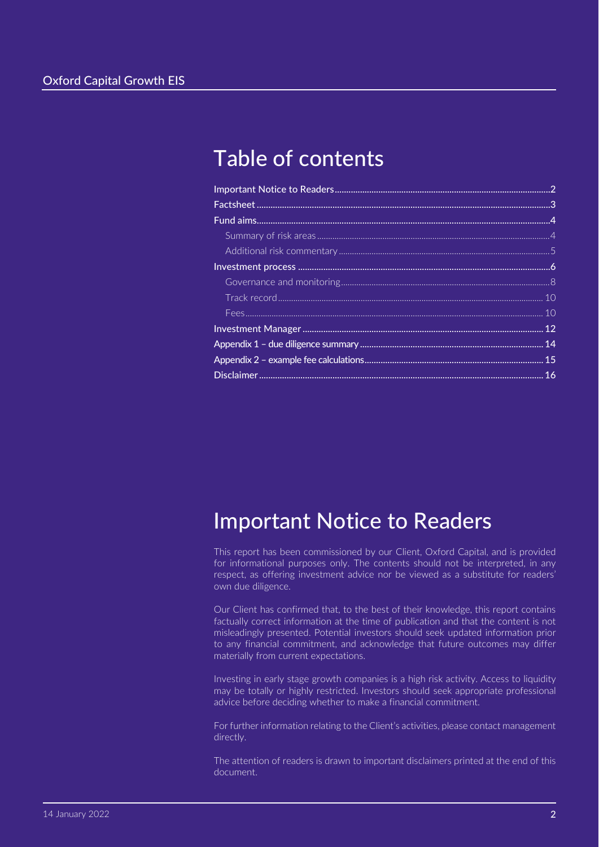# Table of contents

# <span id="page-1-0"></span>Important Notice to Readers

This report has been commissioned by our Client, Oxford Capital, and is provided for informational purposes only. The contents should not be interpreted, in any respect, as offering investment advice nor be viewed as a substitute for readers' own due diligence.

Our Client has confirmed that, to the best of their knowledge, this report contains factually correct information at the time of publication and that the content is not misleadingly presented. Potential investors should seek updated information prior to any financial commitment, and acknowledge that future outcomes may differ materially from current expectations.

Investing in early stage growth companies is a high risk activity. Access to liquidity may be totally or highly restricted. Investors should seek appropriate professional advice before deciding whether to make a financial commitment.

For further information relating to the Client's activities, please contact management directly.

The attention of readers is drawn to important disclaimers printed at the end of this document.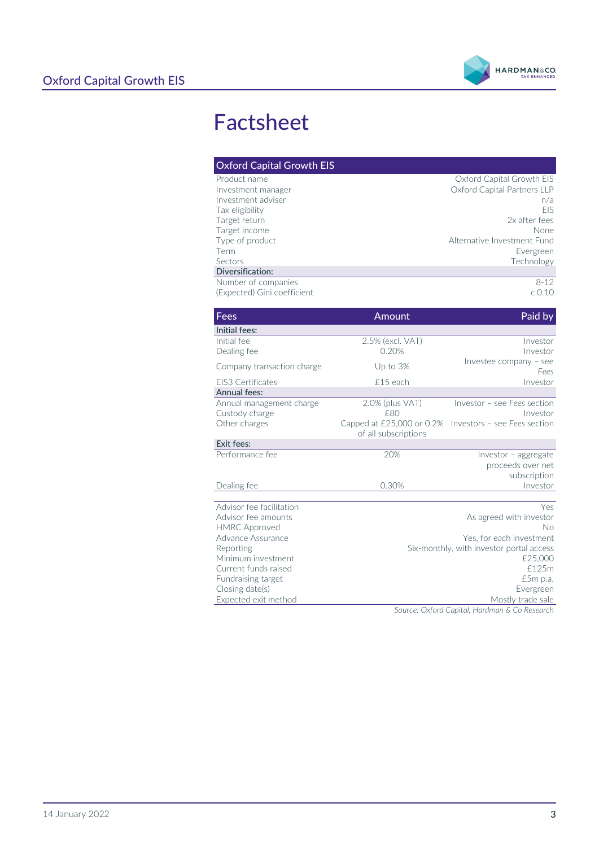

# <span id="page-2-0"></span>Factsheet

| <b>Oxford Capital Growth EIS</b>                                                             |                                                                      |                                                                                                   |  |
|----------------------------------------------------------------------------------------------|----------------------------------------------------------------------|---------------------------------------------------------------------------------------------------|--|
| Product name<br>Investment manager<br>Investment adviser<br>Tax eligibility<br>Target return |                                                                      | Oxford Capital Growth EIS<br>Oxford Capital Partners LLP<br>n/a<br><b>FIS</b><br>2x after fees    |  |
| Target income<br>Type of product<br>Term<br>Sectors<br>Diversification:                      |                                                                      | None<br>Alternative Investment Fund<br>Evergreen<br>Technology                                    |  |
| Number of companies<br>(Expected) Gini coefficient                                           |                                                                      | $8 - 12$<br>c.0.10                                                                                |  |
| Fees                                                                                         | Amount                                                               | Paid by                                                                                           |  |
| Initial fees:                                                                                |                                                                      |                                                                                                   |  |
| Initial fee<br>Dealing fee                                                                   | 2.5% (excl. VAT)<br>0.20%                                            | Investor<br>Investor                                                                              |  |
| Company transaction charge                                                                   | Up to 3%                                                             | Investee company - see<br>Fees                                                                    |  |
| <b>EIS3 Certificates</b><br>Annual fees:                                                     | £15 each                                                             | Investor                                                                                          |  |
| Annual management charge<br>Custody charge<br>Other charges                                  | 2.0% (plus VAT)<br>£80<br>of all subscriptions                       | Investor - see Fees section<br>Investor<br>Capped at £25,000 or 0.2% Investors - see Fees section |  |
| Exit fees:                                                                                   |                                                                      |                                                                                                   |  |
| Performance fee                                                                              | 20%                                                                  | Investor - aggregate<br>proceeds over net<br>subscription                                         |  |
| Dealing fee                                                                                  | 0.30%                                                                | Investor                                                                                          |  |
| Advisor fee facilitation<br>Advisor fee amounts<br><b>HMRC Approved</b>                      |                                                                      | Yes<br>As agreed with investor<br>Nο                                                              |  |
| Advance Assurance<br>Reporting                                                               | Yes, for each investment<br>Six-monthly, with investor portal access |                                                                                                   |  |
| Minimum investment<br>Current funds raised                                                   | £25,000<br>£125m                                                     |                                                                                                   |  |
| Fundraising target<br>Closing date(s)                                                        |                                                                      | £5m p.a.<br>Evergreen                                                                             |  |
| Expected exit method                                                                         |                                                                      | Mostly trade sale<br>Source: Oxford Capital Hardman S. Co Recearch                                |  |

*Source: Oxford Capital, Hardman & Co Research*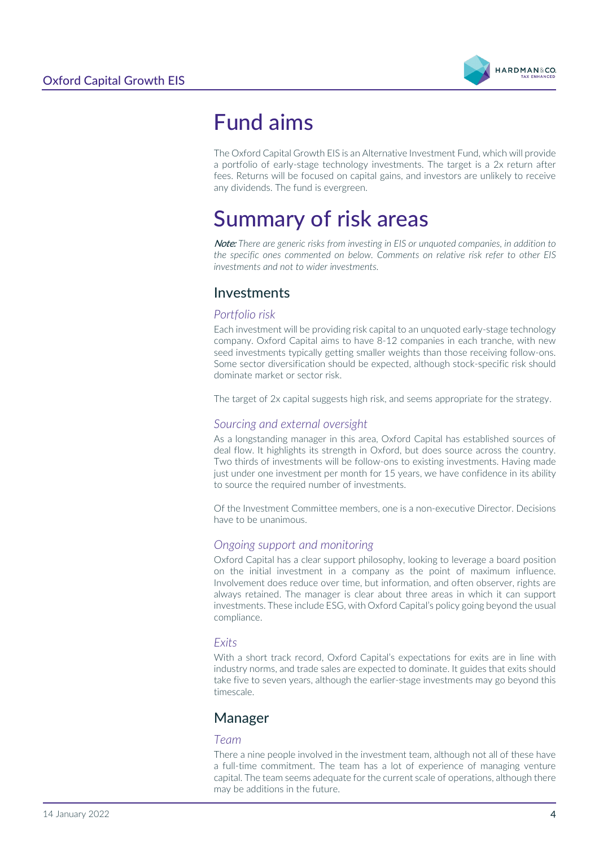

# <span id="page-3-0"></span>Fund aims

The Oxford Capital Growth EIS is an Alternative Investment Fund, which will provide a portfolio of early-stage technology investments. The target is a 2x return after fees. Returns will be focused on capital gains, and investors are unlikely to receive any dividends. The fund is evergreen.

# <span id="page-3-1"></span>Summary of risk areas

Note: *There are generic risks from investing in EIS or unquoted companies, in addition to the specific ones commented on below. Comments on relative risk refer to other EIS investments and not to wider investments.*

## Investments

### *Portfolio risk*

Each investment will be providing risk capital to an unquoted early-stage technology company. Oxford Capital aims to have 8-12 companies in each tranche, with new seed investments typically getting smaller weights than those receiving follow-ons. Some sector diversification should be expected, although stock-specific risk should dominate market or sector risk.

The target of 2x capital suggests high risk, and seems appropriate for the strategy.

### *Sourcing and external oversight*

As a longstanding manager in this area, Oxford Capital has established sources of deal flow. It highlights its strength in Oxford, but does source across the country. Two thirds of investments will be follow-ons to existing investments. Having made just under one investment per month for 15 years, we have confidence in its ability to source the required number of investments.

Of the Investment Committee members, one is a non-executive Director. Decisions have to be unanimous.

### *Ongoing support and monitoring*

Oxford Capital has a clear support philosophy, looking to leverage a board position on the initial investment in a company as the point of maximum influence. Involvement does reduce over time, but information, and often observer, rights are always retained. The manager is clear about three areas in which it can support investments. These include ESG, with Oxford Capital's policy going beyond the usual compliance.

### *Exits*

With a short track record, Oxford Capital's expectations for exits are in line with industry norms, and trade sales are expected to dominate. It guides that exits should take five to seven years, although the earlier-stage investments may go beyond this timescale.

## Manager

### *Team*

There a nine people involved in the investment team, although not all of these have a full-time commitment. The team has a lot of experience of managing venture capital. The team seems adequate for the current scale of operations, although there may be additions in the future.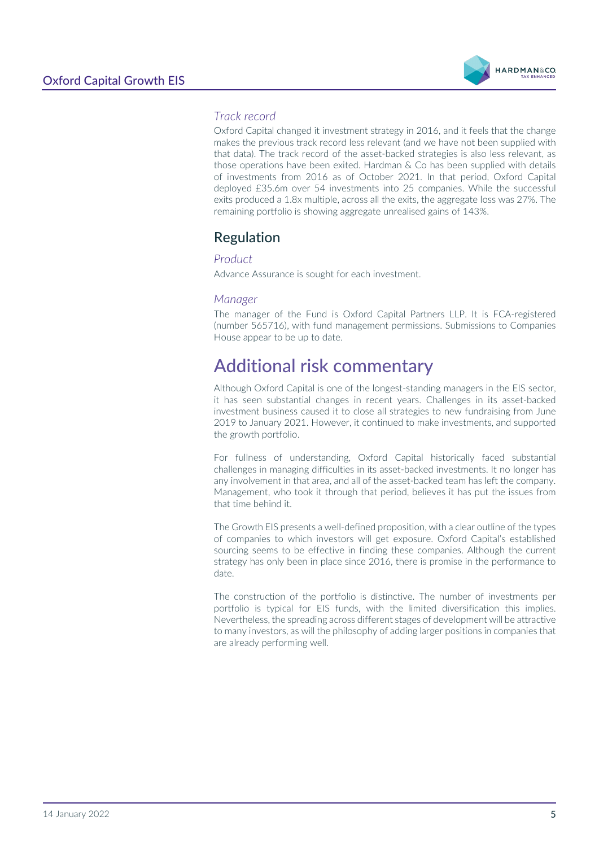

## *Track record*

Oxford Capital changed it investment strategy in 2016, and it feels that the change makes the previous track record less relevant (and we have not been supplied with that data). The track record of the asset-backed strategies is also less relevant, as those operations have been exited. Hardman & Co has been supplied with details of investments from 2016 as of October 2021. In that period, Oxford Capital deployed £35.6m over 54 investments into 25 companies. While the successful exits produced a 1.8x multiple, across all the exits, the aggregate loss was 27%. The remaining portfolio is showing aggregate unrealised gains of 143%.

# Regulation

### *Product*

Advance Assurance is sought for each investment.

#### *Manager*

The manager of the Fund is Oxford Capital Partners LLP. It is FCA-registered (number 565716), with fund management permissions. Submissions to Companies House appear to be up to date.

# <span id="page-4-0"></span>Additional risk commentary

Although Oxford Capital is one of the longest-standing managers in the EIS sector, it has seen substantial changes in recent years. Challenges in its asset-backed investment business caused it to close all strategies to new fundraising from June 2019 to January 2021. However, it continued to make investments, and supported the growth portfolio.

For fullness of understanding, Oxford Capital historically faced substantial challenges in managing difficulties in its asset-backed investments. It no longer has any involvement in that area, and all of the asset-backed team has left the company. Management, who took it through that period, believes it has put the issues from that time behind it.

The Growth EIS presents a well-defined proposition, with a clear outline of the types of companies to which investors will get exposure. Oxford Capital's established sourcing seems to be effective in finding these companies. Although the current strategy has only been in place since 2016, there is promise in the performance to date.

The construction of the portfolio is distinctive. The number of investments per portfolio is typical for EIS funds, with the limited diversification this implies. Nevertheless, the spreading across different stages of development will be attractive to many investors, as will the philosophy of adding larger positions in companies that are already performing well.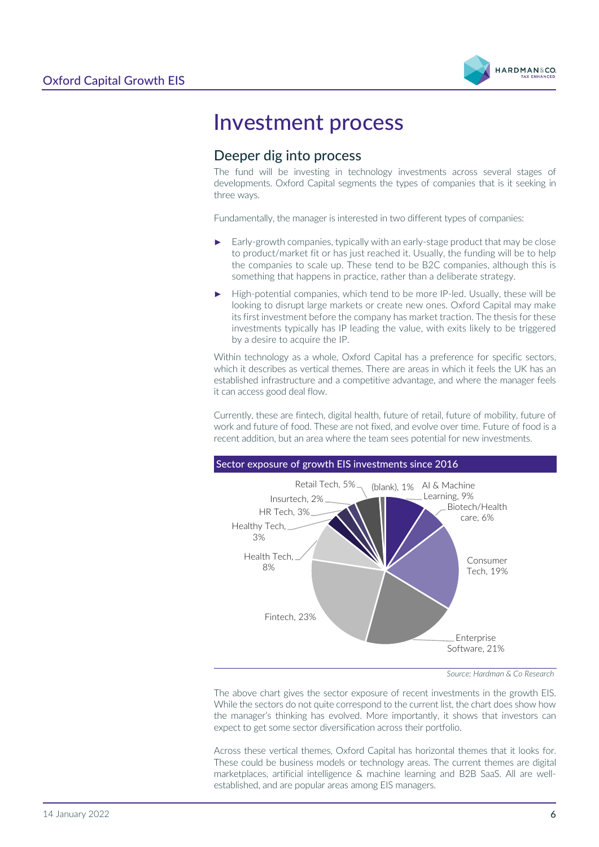

# <span id="page-5-0"></span>Investment process

# Deeper dig into process

The fund will be investing in technology investments across several stages of developments. Oxford Capital segments the types of companies that is it seeking in three ways.

Fundamentally, the manager is interested in two different types of companies:

- Early-growth companies, typically with an early-stage product that may be close to product/market fit or has just reached it. Usually, the funding will be to help the companies to scale up. These tend to be B2C companies, although this is something that happens in practice, rather than a deliberate strategy.
- High-potential companies, which tend to be more IP-led. Usually, these will be looking to disrupt large markets or create new ones. Oxford Capital may make its first investment before the company has market traction. The thesis for these investments typically has IP leading the value, with exits likely to be triggered by a desire to acquire the IP.

Within technology as a whole, Oxford Capital has a preference for specific sectors, which it describes as vertical themes. There are areas in which it feels the UK has an established infrastructure and a competitive advantage, and where the manager feels it can access good deal flow.

Currently, these are fintech, digital health, future of retail, future of mobility, future of work and future of food. These are not fixed, and evolve over time. Future of food is a recent addition, but an area where the team sees potential for new investments.



*Source: Hardman & Co Research*

The above chart gives the sector exposure of recent investments in the growth EIS. While the sectors do not quite correspond to the current list, the chart does show how the manager's thinking has evolved. More importantly, it shows that investors can expect to get some sector diversification across their portfolio.

Across these vertical themes, Oxford Capital has horizontal themes that it looks for. These could be business models or technology areas. The current themes are digital marketplaces, artificial intelligence & machine learning and B2B SaaS. All are wellestablished, and are popular areas among EIS managers.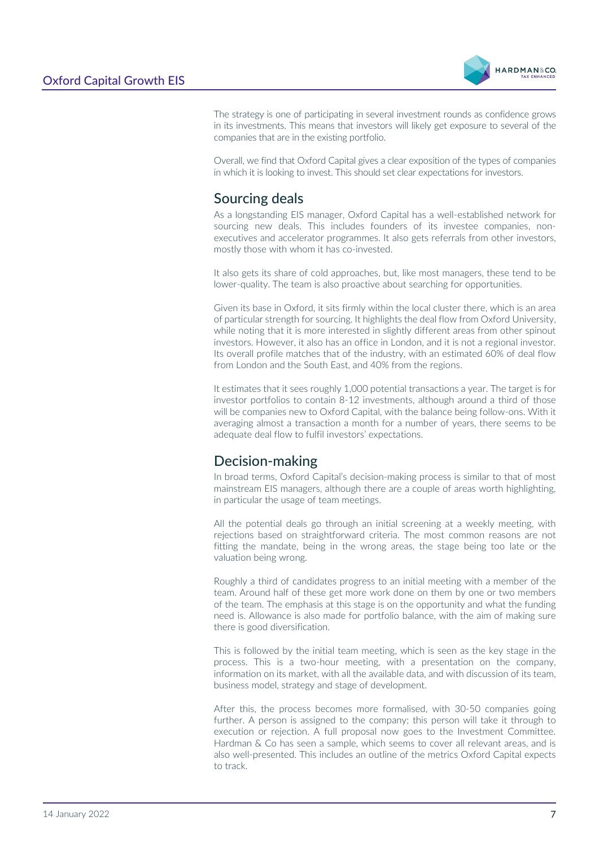

The strategy is one of participating in several investment rounds as confidence grows in its investments. This means that investors will likely get exposure to several of the companies that are in the existing portfolio.

Overall, we find that Oxford Capital gives a clear exposition of the types of companies in which it is looking to invest. This should set clear expectations for investors.

# Sourcing deals

As a longstanding EIS manager, Oxford Capital has a well-established network for sourcing new deals. This includes founders of its investee companies, nonexecutives and accelerator programmes. It also gets referrals from other investors, mostly those with whom it has co-invested.

It also gets its share of cold approaches, but, like most managers, these tend to be lower-quality. The team is also proactive about searching for opportunities.

Given its base in Oxford, it sits firmly within the local cluster there, which is an area of particular strength for sourcing. It highlights the deal flow from Oxford University, while noting that it is more interested in slightly different areas from other spinout investors. However, it also has an office in London, and it is not a regional investor. Its overall profile matches that of the industry, with an estimated 60% of deal flow from London and the South East, and 40% from the regions.

It estimates that it sees roughly 1,000 potential transactions a year. The target is for investor portfolios to contain 8-12 investments, although around a third of those will be companies new to Oxford Capital, with the balance being follow-ons. With it averaging almost a transaction a month for a number of years, there seems to be adequate deal flow to fulfil investors' expectations.

# Decision-making

In broad terms, Oxford Capital's decision-making process is similar to that of most mainstream EIS managers, although there are a couple of areas worth highlighting, in particular the usage of team meetings.

All the potential deals go through an initial screening at a weekly meeting, with rejections based on straightforward criteria. The most common reasons are not fitting the mandate, being in the wrong areas, the stage being too late or the valuation being wrong.

Roughly a third of candidates progress to an initial meeting with a member of the team. Around half of these get more work done on them by one or two members of the team. The emphasis at this stage is on the opportunity and what the funding need is. Allowance is also made for portfolio balance, with the aim of making sure there is good diversification.

This is followed by the initial team meeting, which is seen as the key stage in the process. This is a two-hour meeting, with a presentation on the company, information on its market, with all the available data, and with discussion of its team, business model, strategy and stage of development.

After this, the process becomes more formalised, with 30-50 companies going further. A person is assigned to the company; this person will take it through to execution or rejection. A full proposal now goes to the Investment Committee. Hardman & Co has seen a sample, which seems to cover all relevant areas, and is also well-presented. This includes an outline of the metrics Oxford Capital expects to track.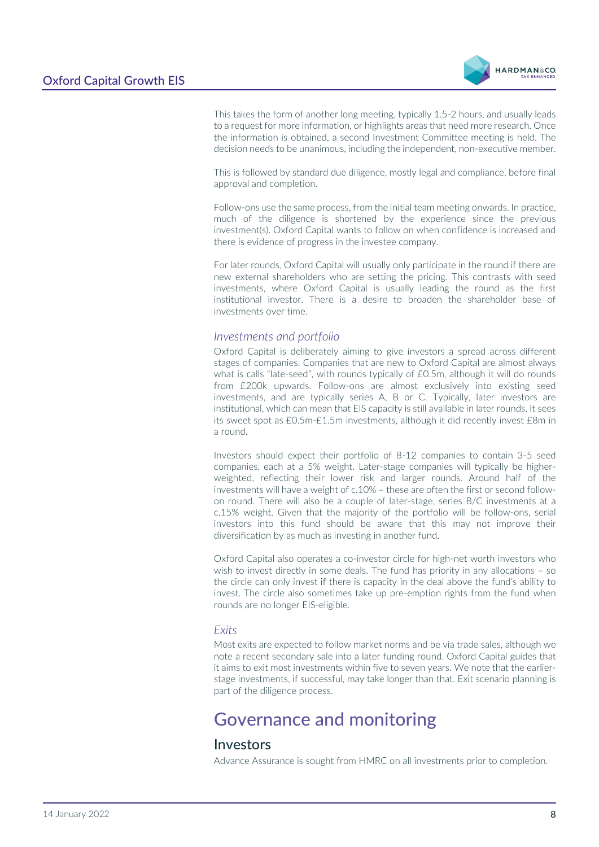

This takes the form of another long meeting, typically 1.5-2 hours, and usually leads to a request for more information, or highlights areas that need more research. Once the information is obtained, a second Investment Committee meeting is held. The decision needs to be unanimous, including the independent, non-executive member.

This is followed by standard due diligence, mostly legal and compliance, before final approval and completion.

Follow-ons use the same process, from the initial team meeting onwards. In practice, much of the diligence is shortened by the experience since the previous investment(s). Oxford Capital wants to follow on when confidence is increased and there is evidence of progress in the investee company.

For later rounds, Oxford Capital will usually only participate in the round if there are new external shareholders who are setting the pricing. This contrasts with seed investments, where Oxford Capital is usually leading the round as the first institutional investor. There is a desire to broaden the shareholder base of investments over time.

#### *Investments and portfolio*

Oxford Capital is deliberately aiming to give investors a spread across different stages of companies. Companies that are new to Oxford Capital are almost always what is calls "late-seed", with rounds typically of £0.5m, although it will do rounds from £200k upwards. Follow-ons are almost exclusively into existing seed investments, and are typically series A, B or C. Typically, later investors are institutional, which can mean that EIS capacity is still available in later rounds. It sees its sweet spot as £0.5m-£1.5m investments, although it did recently invest £8m in a round.

Investors should expect their portfolio of 8-12 companies to contain 3-5 seed companies, each at a 5% weight. Later-stage companies will typically be higherweighted, reflecting their lower risk and larger rounds. Around half of the investments will have a weight of c.10% – these are often the first or second followon round. There will also be a couple of later-stage, series B/C investments at a c.15% weight. Given that the majority of the portfolio will be follow-ons, serial investors into this fund should be aware that this may not improve their diversification by as much as investing in another fund.

Oxford Capital also operates a co-investor circle for high-net worth investors who wish to invest directly in some deals. The fund has priority in any allocations – so the circle can only invest if there is capacity in the deal above the fund's ability to invest. The circle also sometimes take up pre-emption rights from the fund when rounds are no longer EIS-eligible.

#### *Exits*

Most exits are expected to follow market norms and be via trade sales, although we note a recent secondary sale into a later funding round. Oxford Capital guides that it aims to exit most investments within five to seven years. We note that the earlierstage investments, if successful, may take longer than that. Exit scenario planning is part of the diligence process.

# <span id="page-7-0"></span>Governance and monitoring

## Investors

Advance Assurance is sought from HMRC on all investments prior to completion.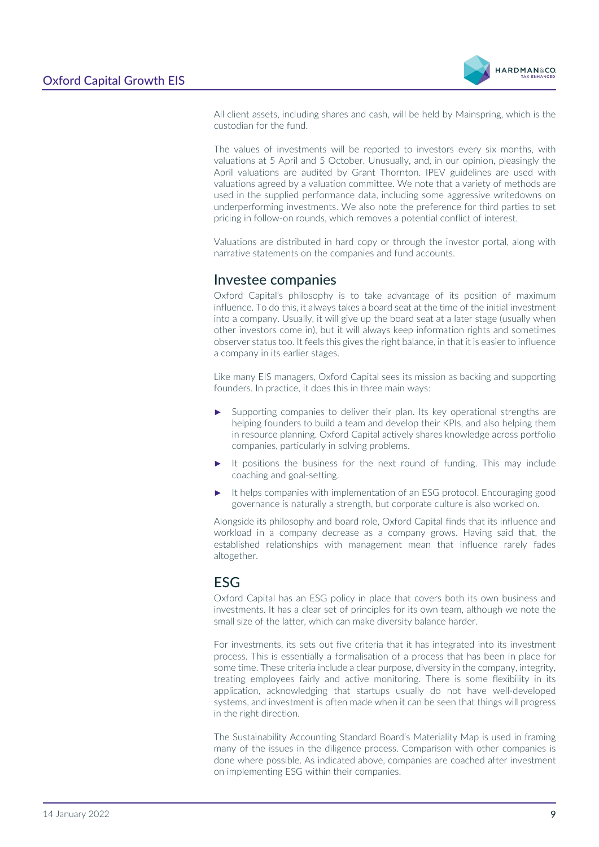

All client assets, including shares and cash, will be held by Mainspring, which is the custodian for the fund.

The values of investments will be reported to investors every six months, with valuations at 5 April and 5 October. Unusually, and, in our opinion, pleasingly the April valuations are audited by Grant Thornton. IPEV guidelines are used with valuations agreed by a valuation committee. We note that a variety of methods are used in the supplied performance data, including some aggressive writedowns on underperforming investments. We also note the preference for third parties to set pricing in follow-on rounds, which removes a potential conflict of interest.

Valuations are distributed in hard copy or through the investor portal, along with narrative statements on the companies and fund accounts.

## Investee companies

Oxford Capital's philosophy is to take advantage of its position of maximum influence. To do this, it always takes a board seat at the time of the initial investment into a company. Usually, it will give up the board seat at a later stage (usually when other investors come in), but it will always keep information rights and sometimes observer status too. It feels this gives the right balance, in that it is easier to influence a company in its earlier stages.

Like many EIS managers, Oxford Capital sees its mission as backing and supporting founders. In practice, it does this in three main ways:

- Supporting companies to deliver their plan. Its key operational strengths are helping founders to build a team and develop their KPIs, and also helping them in resource planning. Oxford Capital actively shares knowledge across portfolio companies, particularly in solving problems.
- It positions the business for the next round of funding. This may include coaching and goal-setting.
- It helps companies with implementation of an ESG protocol. Encouraging good governance is naturally a strength, but corporate culture is also worked on.

Alongside its philosophy and board role, Oxford Capital finds that its influence and workload in a company decrease as a company grows. Having said that, the established relationships with management mean that influence rarely fades altogether.

## ESG

Oxford Capital has an ESG policy in place that covers both its own business and investments. It has a clear set of principles for its own team, although we note the small size of the latter, which can make diversity balance harder.

For investments, its sets out five criteria that it has integrated into its investment process. This is essentially a formalisation of a process that has been in place for some time. These criteria include a clear purpose, diversity in the company, integrity, treating employees fairly and active monitoring. There is some flexibility in its application, acknowledging that startups usually do not have well-developed systems, and investment is often made when it can be seen that things will progress in the right direction.

The Sustainability Accounting Standard Board's Materiality Map is used in framing many of the issues in the diligence process. Comparison with other companies is done where possible. As indicated above, companies are coached after investment on implementing ESG within their companies.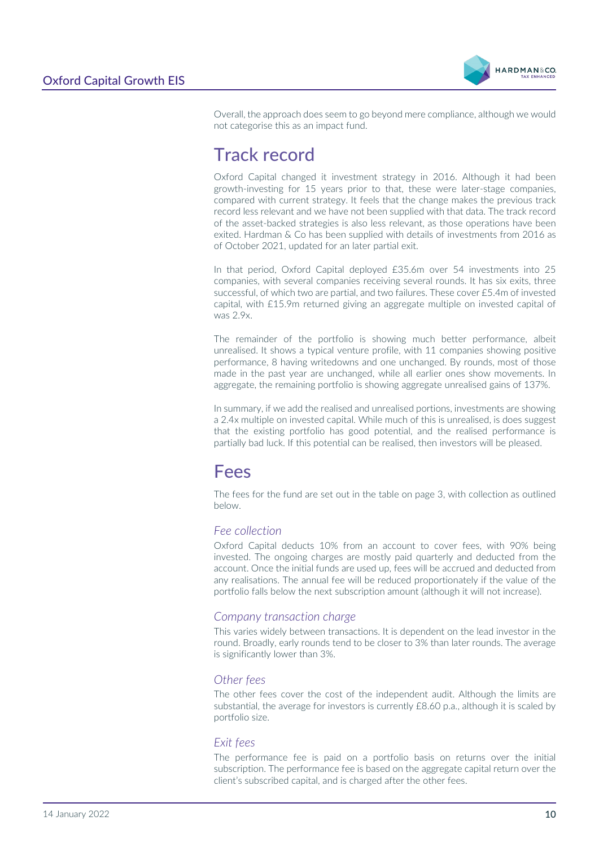

Overall, the approach does seem to go beyond mere compliance, although we would not categorise this as an impact fund.

# <span id="page-9-0"></span>Track record

Oxford Capital changed it investment strategy in 2016. Although it had been growth-investing for 15 years prior to that, these were later-stage companies, compared with current strategy. It feels that the change makes the previous track record less relevant and we have not been supplied with that data. The track record of the asset-backed strategies is also less relevant, as those operations have been exited. Hardman & Co has been supplied with details of investments from 2016 as of October 2021, updated for an later partial exit.

In that period, Oxford Capital deployed £35.6m over 54 investments into 25 companies, with several companies receiving several rounds. It has six exits, three successful, of which two are partial, and two failures. These cover £5.4m of invested capital, with £15.9m returned giving an aggregate multiple on invested capital of was 2.9x.

The remainder of the portfolio is showing much better performance, albeit unrealised. It shows a typical venture profile, with 11 companies showing positive performance, 8 having writedowns and one unchanged. By rounds, most of those made in the past year are unchanged, while all earlier ones show movements. In aggregate, the remaining portfolio is showing aggregate unrealised gains of 137%.

In summary, if we add the realised and unrealised portions, investments are showing a 2.4x multiple on invested capital. While much of this is unrealised, is does suggest that the existing portfolio has good potential, and the realised performance is partially bad luck. If this potential can be realised, then investors will be pleased.

# <span id="page-9-1"></span>Fees

The fees for the fund are set out in the table on page 3, with collection as outlined below.

### *Fee collection*

Oxford Capital deducts 10% from an account to cover fees, with 90% being invested. The ongoing charges are mostly paid quarterly and deducted from the account. Once the initial funds are used up, fees will be accrued and deducted from any realisations. The annual fee will be reduced proportionately if the value of the portfolio falls below the next subscription amount (although it will not increase).

### *Company transaction charge*

This varies widely between transactions. It is dependent on the lead investor in the round. Broadly, early rounds tend to be closer to 3% than later rounds. The average is significantly lower than 3%.

### *Other fees*

The other fees cover the cost of the independent audit. Although the limits are substantial, the average for investors is currently  $£8.60$  p.a., although it is scaled by portfolio size.

#### *Exit fees*

The performance fee is paid on a portfolio basis on returns over the initial subscription. The performance fee is based on the aggregate capital return over the client's subscribed capital, and is charged after the other fees.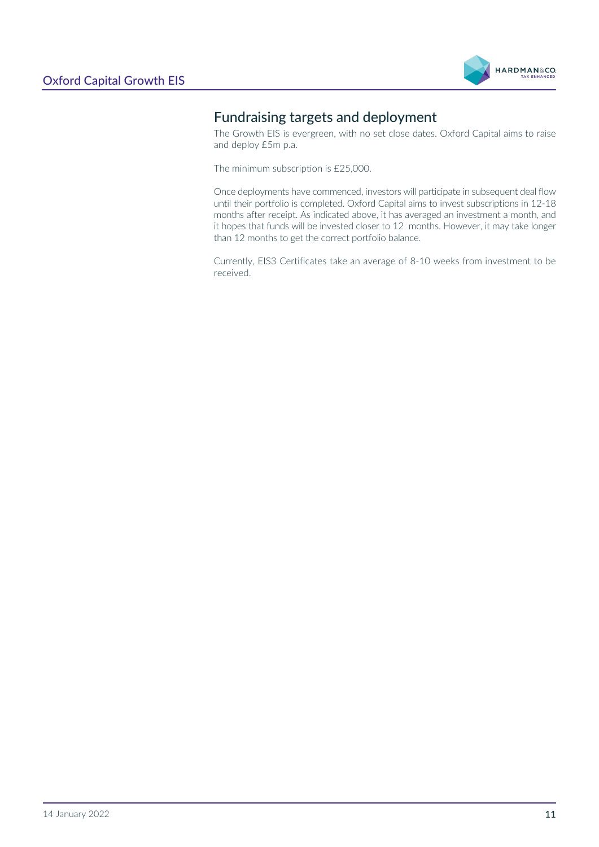

# Fundraising targets and deployment

The Growth EIS is evergreen, with no set close dates. Oxford Capital aims to raise and deploy £5m p.a.

The minimum subscription is £25,000.

Once deployments have commenced, investors will participate in subsequent deal flow until their portfolio is completed. Oxford Capital aims to invest subscriptions in 12-18 months after receipt. As indicated above, it has averaged an investment a month, and it hopes that funds will be invested closer to 12 months. However, it may take longer than 12 months to get the correct portfolio balance.

Currently, EIS3 Certificates take an average of 8-10 weeks from investment to be received.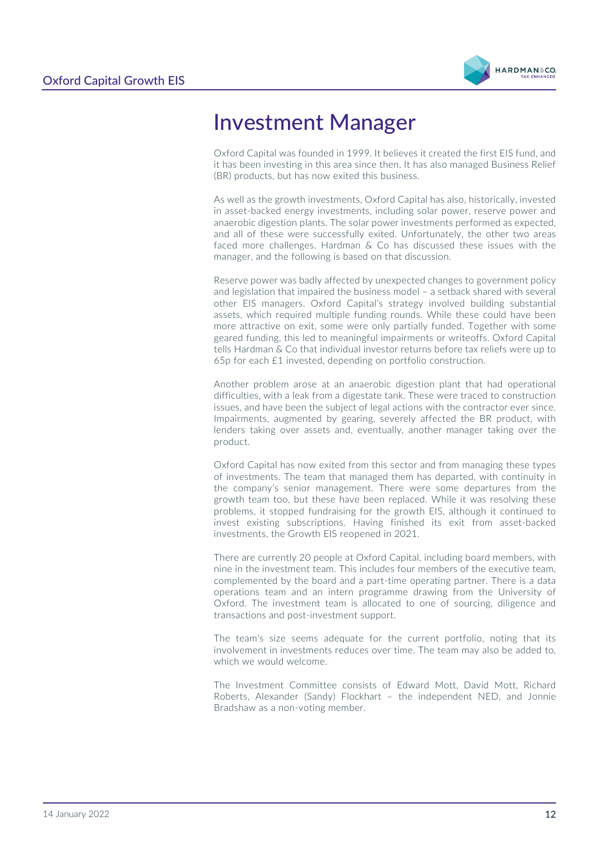

# <span id="page-11-0"></span>Investment Manager

Oxford Capital was founded in 1999. It believes it created the first EIS fund, and it has been investing in this area since then. It has also managed Business Relief (BR) products, but has now exited this business.

As well as the growth investments, Oxford Capital has also, historically, invested in asset-backed energy investments, including solar power, reserve power and anaerobic digestion plants. The solar power investments performed as expected, and all of these were successfully exited. Unfortunately, the other two areas faced more challenges. Hardman & Co has discussed these issues with the manager, and the following is based on that discussion.

Reserve power was badly affected by unexpected changes to government policy and legislation that impaired the business model – a setback shared with several other EIS managers. Oxford Capital's strategy involved building substantial assets, which required multiple funding rounds. While these could have been more attractive on exit, some were only partially funded. Together with some geared funding, this led to meaningful impairments or writeoffs. Oxford Capital tells Hardman & Co that individual investor returns before tax reliefs were up to 65p for each £1 invested, depending on portfolio construction.

Another problem arose at an anaerobic digestion plant that had operational difficulties, with a leak from a digestate tank. These were traced to construction issues, and have been the subject of legal actions with the contractor ever since. Impairments, augmented by gearing, severely affected the BR product, with lenders taking over assets and, eventually, another manager taking over the product.

Oxford Capital has now exited from this sector and from managing these types of investments. The team that managed them has departed, with continuity in the company's senior management. There were some departures from the growth team too, but these have been replaced. While it was resolving these problems, it stopped fundraising for the growth EIS, although it continued to invest existing subscriptions. Having finished its exit from asset-backed investments, the Growth EIS reopened in 2021.

There are currently 20 people at Oxford Capital, including board members, with nine in the investment team. This includes four members of the executive team, complemented by the board and a part-time operating partner. There is a data operations team and an intern programme drawing from the University of Oxford. The investment team is allocated to one of sourcing, diligence and transactions and post-investment support.

The team's size seems adequate for the current portfolio, noting that its involvement in investments reduces over time. The team may also be added to, which we would welcome.

The Investment Committee consists of Edward Mott, David Mott, Richard Roberts, Alexander (Sandy) Flockhart – the independent NED, and Jonnie Bradshaw as a non-voting member.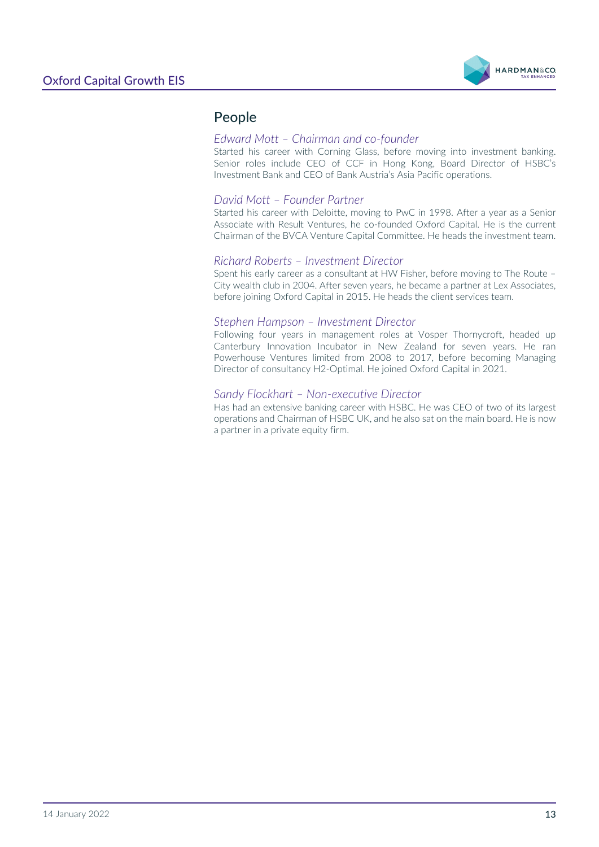

# People

### *Edward Mott – Chairman and co-founder*

Started his career with Corning Glass, before moving into investment banking. Senior roles include CEO of CCF in Hong Kong, Board Director of HSBC's Investment Bank and CEO of Bank Austria's Asia Pacific operations.

### *David Mott – Founder Partner*

Started his career with Deloitte, moving to PwC in 1998. After a year as a Senior Associate with Result Ventures, he co-founded Oxford Capital. He is the current Chairman of the BVCA Venture Capital Committee. He heads the investment team.

#### *Richard Roberts – Investment Director*

Spent his early career as a consultant at HW Fisher, before moving to The Route – City wealth club in 2004. After seven years, he became a partner at Lex Associates, before joining Oxford Capital in 2015. He heads the client services team.

#### *Stephen Hampson – Investment Director*

Following four years in management roles at Vosper Thornycroft, headed up Canterbury Innovation Incubator in New Zealand for seven years. He ran Powerhouse Ventures limited from 2008 to 2017, before becoming Managing Director of consultancy H2-Optimal. He joined Oxford Capital in 2021.

#### *Sandy Flockhart – Non-executive Director*

Has had an extensive banking career with HSBC. He was CEO of two of its largest operations and Chairman of HSBC UK, and he also sat on the main board. He is now a partner in a private equity firm.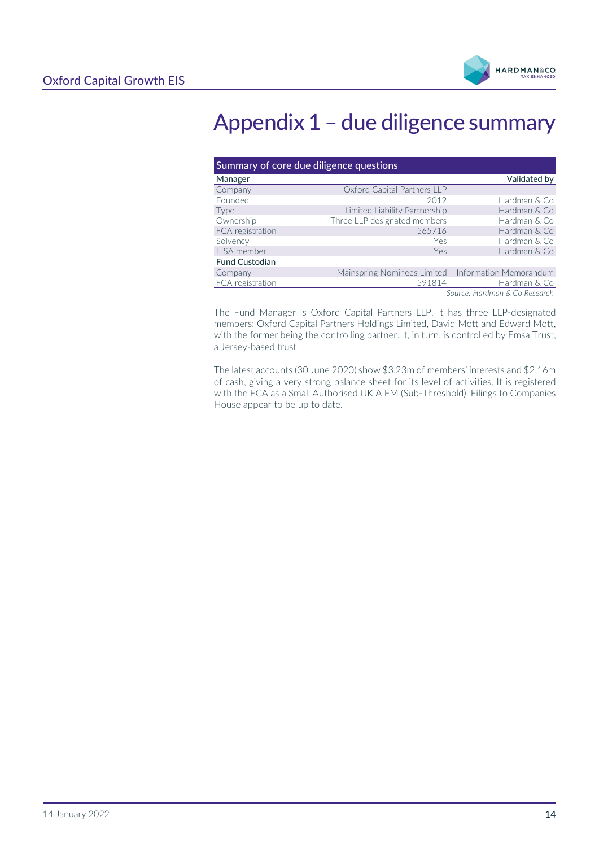

# <span id="page-13-0"></span>Appendix 1 – due diligence summary

| Summary of core due diligence questions |                               |                        |  |  |
|-----------------------------------------|-------------------------------|------------------------|--|--|
| Manager                                 |                               | Validated by           |  |  |
| Company                                 | Oxford Capital Partners LLP   |                        |  |  |
| Founded                                 | 2012                          | Hardman & Co           |  |  |
| Type                                    | Limited Liability Partnership | Hardman & Co           |  |  |
| Ownership                               | Three LLP designated members  | Hardman & Co           |  |  |
| FCA registration                        | 565716                        | Hardman & Co           |  |  |
| Solvency                                | Yes                           | Hardman & Co           |  |  |
| EISA member                             | Yes                           | Hardman & Co           |  |  |
| <b>Fund Custodian</b>                   |                               |                        |  |  |
| Company                                 | Mainspring Nominees Limited   | Information Memorandum |  |  |
| FCA registration                        | 591814                        | Hardman & Co           |  |  |
| Source: Hardman & Co Research           |                               |                        |  |  |

The Fund Manager is Oxford Capital Partners LLP. It has three LLP-designated members: Oxford Capital Partners Holdings Limited, David Mott and Edward Mott, with the former being the controlling partner. It, in turn, is controlled by Emsa Trust, a Jersey-based trust.

The latest accounts (30 June 2020) show \$3.23m of members' interests and \$2.16m of cash, giving a very strong balance sheet for its level of activities. It is registered with the FCA as a Small Authorised UK AIFM (Sub-Threshold). Filings to Companies House appear to be up to date.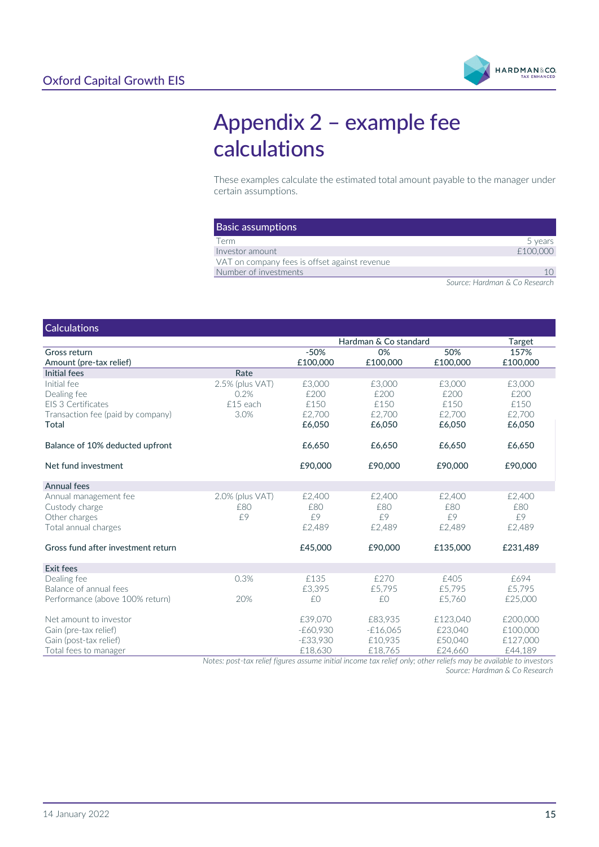

# <span id="page-14-0"></span>Appendix 2 – example fee calculations

These examples calculate the estimated total amount payable to the manager under certain assumptions.

| <b>Basic assumptions</b>                      |          |
|-----------------------------------------------|----------|
| Term                                          | 5 years  |
| Investor amount                               | £100,000 |
| VAT on company fees is offset against revenue |          |
| Number of investments                         |          |

*Source: Hardman & Co Research*

#### **Calculations**

|                                    |                 | Hardman & Co standard |            | Target   |          |
|------------------------------------|-----------------|-----------------------|------------|----------|----------|
| Gross return                       |                 | $-50%$                | 0%         | 50%      | 157%     |
| Amount (pre-tax relief)            |                 | £100,000              | £100,000   | £100,000 | £100,000 |
| Initial fees                       | Rate            |                       |            |          |          |
| Initial fee                        | 2.5% (plus VAT) | £3,000                | £3,000     | £3,000   | £3,000   |
| Dealing fee                        | 0.2%            | £200                  | £200       | £200     | £200     |
| EIS 3 Certificates                 | £15 each        | £150                  | £150       | £150     | £150     |
| Transaction fee (paid by company)  | 3.0%            | £2,700                | £2,700     | £2,700   | £2,700   |
| Total                              |                 | £6,050                | £6,050     | £6,050   | £6,050   |
| Balance of 10% deducted upfront    |                 | £6,650                | £6,650     | £6,650   | £6,650   |
| Net fund investment                |                 | £90,000               | £90,000    | £90,000  | £90,000  |
| Annual fees                        |                 |                       |            |          |          |
| Annual management fee              | 2.0% (plus VAT) | £2,400                | £2,400     | £2,400   | £2,400   |
| Custody charge                     | £80             | £80                   | £80        | £80      | £80      |
| Other charges                      | £9              | f9                    | f9         | £9       | f9       |
| Total annual charges               |                 | £2,489                | £2,489     | £2,489   | £2,489   |
| Gross fund after investment return |                 | £45,000               | £90,000    | £135,000 | £231.489 |
| <b>Exit fees</b>                   |                 |                       |            |          |          |
| Dealing fee                        | 0.3%            | £135                  | £270       | £405     | £694     |
| Balance of annual fees             |                 | £3,395                | £5.795     | £5,795   | £5,795   |
| Performance (above 100% return)    | 20%             | £0                    | £0         | £5,760   | £25,000  |
| Net amount to investor             |                 | £39,070               | £83,935    | £123,040 | £200,000 |
| Gain (pre-tax relief)              |                 | -£60,930              | $-E16,065$ | £23,040  | £100,000 |
| Gain (post-tax relief)             |                 | $-E33,930$            | £10,935    | £50,040  | £127,000 |
| Total fees to manager              |                 | £18,630               | £18,765    | £24,660  | £44,189  |

*Notes: post-tax relief figures assume initial income tax relief only; other reliefs may be available to investors Source: Hardman & Co Research*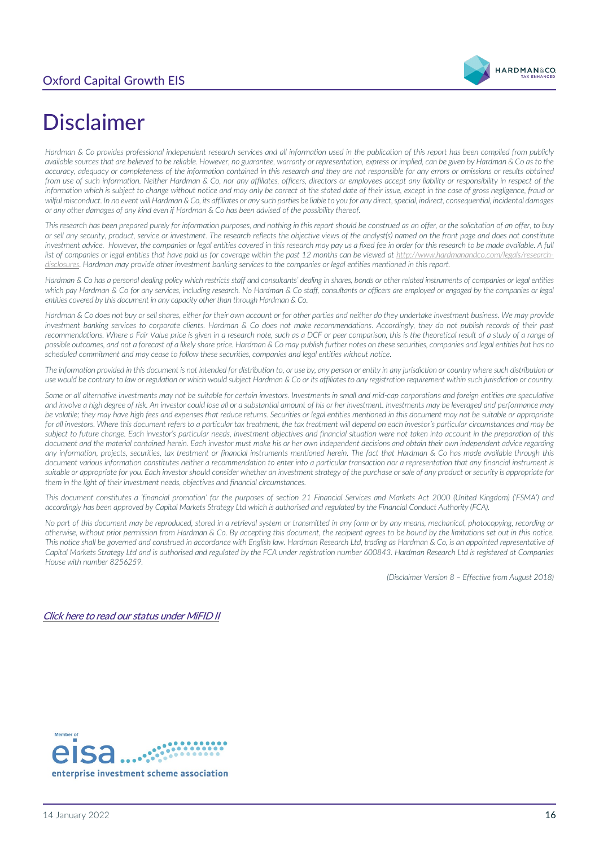# Oxford Capital Growth EIS



# <span id="page-15-0"></span>Disclaimer

*Hardman & Co provides professional independent research services and all information used in the publication of this report has been compiled from publicly available sources that are believed to be reliable. However, no guarantee, warranty or representation, express or implied, can be given by Hardman & Co as to the accuracy, adequacy or completeness of the information contained in this research and they are not responsible for any errors or omissions or results obtained from use of such information. Neither Hardman & Co, nor any affiliates, officers, directors or employees accept any liability or responsibility in respect of the information which is subject to change without notice and may only be correct at the stated date of their issue, except in the case of gross negligence, fraud or wilful misconduct. In no event will Hardman & Co, its affiliates or any such parties be liable to you for any direct, special, indirect, consequential, incidental damages or any other damages of any kind even if Hardman & Co has been advised of the possibility thereof.* 

*This research has been prepared purely for information purposes, and nothing in this report should be construed as an offer, or the solicitation of an offer, to buy or sell any security, product, service or investment. The research reflects the objective views of the analyst(s) named on the front page and does not constitute investment advice. However, the companies or legal entities covered in this research may pay us a fixed fee in order for this research to be made available. A full* list of companies or legal entities that have paid us for coverage within the past 12 months can be viewed at [http://www.hardmanandco.com/legals/research](http://www.hardmanandco.com/legals/research-disclosures)*[disclosures](http://www.hardmanandco.com/legals/research-disclosures). Hardman may provide other investment banking services to the companies or legal entities mentioned in this report.*

*Hardman & Co has a personal dealing policy which restricts staff and consultants' dealing in shares, bonds or other related instruments of companies or legal entities*  which pay Hardman & Co for any services, including research. No Hardman & Co staff, consultants or officers are employed or engaged by the companies or legal *entities covered by this document in any capacity other than through Hardman & Co.* 

Hardman & Co does not buy or sell shares, either for their own account or for other parties and neither do they undertake investment business. We may provide *investment banking services to corporate clients. Hardman & Co does not make recommendations. Accordingly, they do not publish records of their past recommendations. Where a Fair Value price is given in a research note, such as a DCF or peer comparison, this is the theoretical result of a study of a range of possible outcomes, and not a forecast of a likely share price. Hardman & Co may publish further notes on these securities, companies and legal entities but has no scheduled commitment and may cease to follow these securities, companies and legal entities without notice.*

*The information provided in this document is not intended for distribution to, or use by, any person or entity in any jurisdiction or country where such distribution or use would be contrary to law or regulation or which would subject Hardman & Co or its affiliates to any registration requirement within such jurisdiction or country.*

Some or all alternative investments may not be suitable for certain investors. Investments in small and mid-cap corporations and foreign entities are speculative *and involve a high degree of risk. An investor could lose all or a substantial amount of his or her investment. Investments may be leveraged and performance may be volatile; they may have high fees and expenses that reduce returns. Securities or legal entities mentioned in this document may not be suitable or appropriate*  for all investors. Where this document refers to a particular tax treatment, the tax treatment will depend on each investor's particular circumstances and may be subject to future change. Each investor's particular needs, investment objectives and financial situation were not taken into account in the preparation of this *document and the material contained herein. Each investor must make his or her own independent decisions and obtain their own independent advice regarding any information, projects, securities, tax treatment or financial instruments mentioned herein. The fact that Hardman & Co has made available through this document various information constitutes neither a recommendation to enter into a particular transaction nor a representation that any financial instrument is suitable or appropriate for you. Each investor should consider whether an investment strategy of the purchase or sale of any product or security is appropriate for them in the light of their investment needs, objectives and financial circumstances.* 

*This document constitutes a 'financial promotion' for the purposes of section 21 Financial Services and Markets Act 2000 (United Kingdom) ('FSMA') and accordingly has been approved by Capital Markets Strategy Ltd which is authorised and regulated by the Financial Conduct Authority (FCA).* 

*No part of this document may be reproduced, stored in a retrieval system or transmitted in any form or by any means, mechanical, photocopying, recording or otherwise, without prior permission from Hardman & Co. By accepting this document, the recipient agrees to be bound by the limitations set out in this notice. This notice shall be governed and construed in accordance with English law. Hardman Research Ltd, trading as Hardman & Co, is an appointed representative of Capital Markets Strategy Ltd and is authorised and regulated by the FCA under registration number 600843. Hardman Research Ltd is registered at Companies House with number 8256259.*

*(Disclaimer Version 8 – Effective from August 2018)*

[Click here to read our status under MiFID II](https://www.hardmanandco.com/our-status-under-mifid-ii/)